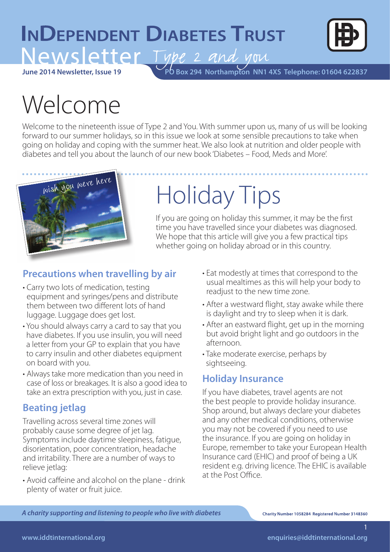## **INDEPENDENT DIABETES TRUST** Newsletter Type 2 and you



**June 2014 Newsletter, Issue 19**

**PO Box 294 Northampton NN1 4XS Telephone: 01604 622837** 

# Welcome

Welcome to the nineteenth issue of Type 2 and You. With summer upon us, many of us will be looking forward to our summer holidays, so in this issue we look at some sensible precautions to take when going on holiday and coping with the summer heat. We also look at nutrition and older people with diabetes and tell you about the launch of our new book 'Diabetes – Food, Meds and More'.



# Holiday Tips

If you are going on holiday this summer, it may be the first time you have travelled since your diabetes was diagnosed. We hope that this article will give you a few practical tips whether going on holiday abroad or in this country.

## **Precautions when travelling by air**

- Carry two lots of medication, testing equipment and syringes/pens and distribute them between two different lots of hand luggage. Luggage does get lost.
- You should always carry a card to say that you have diabetes. If you use insulin, you will need a letter from your GP to explain that you have to carry insulin and other diabetes equipment on board with you.
- Always take more medication than you need in case of loss or breakages. It is also a good idea to take an extra prescription with you, just in case.

## **Beating jetlag**

Travelling across several time zones will probably cause some degree of jet lag. Symptoms include daytime sleepiness, fatigue, disorientation, poor concentration, headache and irritability. There are a number of ways to relieve jetlag:

• Avoid caffeine and alcohol on the plane - drink plenty of water or fruit juice.

- Eat modestly at times that correspond to the usual mealtimes as this will help your body to readjust to the new time zone.
- After a westward flight, stay awake while there is daylight and try to sleep when it is dark.
- After an eastward flight, get up in the morning but avoid bright light and go outdoors in the afternoon.
- Take moderate exercise, perhaps by sightseeing.

### **Holiday Insurance**

If you have diabetes, travel agents are not the best people to provide holiday insurance. Shop around, but always declare your diabetes and any other medical conditions, otherwise you may not be covered if you need to use the insurance. If you are going on holiday in Europe, remember to take your European Health Insurance card (EHIC) and proof of being a UK resident e.g. driving licence. The EHIC is available at the Post Office.

*A charity supporting and listening to people who live with diabetes*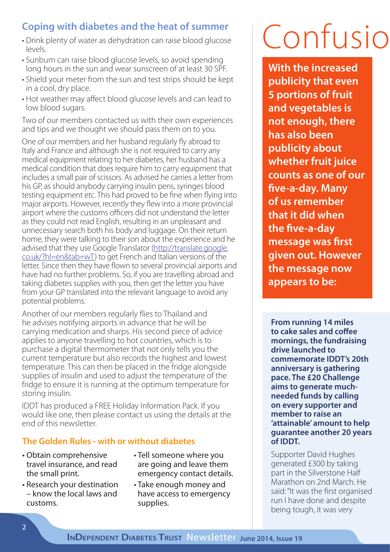## **Coping with diabetes and the heat of summer**

- Drink plenty of water as dehydration can raise blood glucose levels.
- Sunburn can raise blood glucose levels, so avoid spending long hours in the sun and wear sunscreen of at least 30 SPF.
- Shield your meter from the sun and test strips should be kept in a cool, dry place.
- Hot weather may affect blood glucose levels and can lead to low blood sugars.

Two of our members contacted us with their own experiences and tips and we thought we should pass them on to you.

One of our members and her husband regularly fly abroad to Italy and France and although she is not required to carry any medical equipment relating to her diabetes, her husband has a medical condition that does require him to carry equipment that includes a small pair of scissors. As advised he carries a letter from his GP, as should anybody carrying insulin pens, syringes blood testing equipment etc. This had proved to be fine when flying into major airports. However, recently they flew into a more provincial airport where the customs officers did not understand the letter as they could not read English, resulting in an unpleasant and unnecessary search both his body and luggage. On their return home, they were talking to their son about the experience and he advised that they use Google Translator (http://translate.google. co.uk/?hl=en&tab=wT) to get French and Italian versions of the letter. Since then they have flown to several provincial airports and have had no further problems. So, if you are travelling abroad and taking diabetes supplies with you, then get the letter you have from your GP translated into the relevant language to avoid any potential problems.

Another of our members regularly flies to Thailand and he advises notifying airports in advance that he will be carrying medication and sharps. His second piece of advice applies to anyone travelling to hot countries, which is to purchase a digital thermometer that not only tells you the current temperature but also records the highest and lowest temperature. This can then be placed in the fridge alongside supplies of insulin and used to adjust the temperature of the fridge to ensure it is running at the optimum temperature for storing insulin.

IDDT has produced a FREE Holiday Information Pack. If you would like one, then please contact us using the details at the end of this newsletter.

### **The Golden Rules - with or without diabetes**

- Obtain comprehensive travel insurance, and read the small print.
- Research your destination – know the local laws and customs.
- Tell someone where you are going and leave them emergency contact details.
- Take enough money and have access to emergency supplies.

# Confusio

**With the increased publicity that even 5 portions of fruit and vegetables is not enough, there has also been publicity about whether fruit juice counts as one of our five-a-day. Many of us remember that it did when the five-a-day message was first given out. However the message now appears to be:**

**From running 14 miles to cake sales and coffee mornings, the fundraising drive launched to commemorate IDDT's 20th anniversary is gathering pace. The £20 Challenge aims to generate muchneeded funds by calling on every supporter and member to raise an 'attainable' amount to help guarantee another 20 years of IDDT.**

Supporter David Hughes generated £300 by taking part in the Silverstone Half Marathon on 2nd March. He said: "It was the first organised run I have done and despite being tough, it was very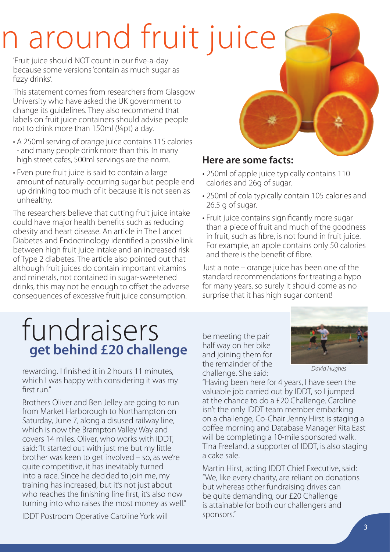# n around fruit juice

'Fruit juice should NOT count in our five-a-day because some versions 'contain as much sugar as fizzy drinks'.

This statement comes from researchers from Glasgow University who have asked the UK government to change its guidelines. They also recommend that labels on fruit juice containers should advise people not to drink more than 150ml (¼pt) a day.

- A 250ml serving of orange juice contains 115 calories - and many people drink more than this. In many high street cafes, 500ml servings are the norm.
- Even pure fruit juice is said to contain a large amount of naturally-occurring sugar but people end up drinking too much of it because it is not seen as unhealthy.

The researchers believe that cutting fruit juice intake could have major health benefits such as reducing obesity and heart disease. An article in The Lancet Diabetes and Endocrinology identified a possible link between high fruit juice intake and an increased risk of Type 2 diabetes. The article also pointed out that although fruit juices do contain important vitamins and minerals, not contained in sugar-sweetened drinks, this may not be enough to offset the adverse consequences of excessive fruit juice consumption.

## **Here are some facts:**

- 250ml of apple juice typically contains 110 calories and 26g of sugar.
- 250ml of cola typically contain 105 calories and 26.5 g of sugar.
- Fruit juice contains significantly more sugar than a piece of fruit and much of the goodness in fruit, such as fibre, is not found in fruit juice. For example, an apple contains only 50 calories and there is the benefit of fibre.

Just a note – orange juice has been one of the standard recommendations for treating a hypo for many years, so surely it should come as no surprise that it has high sugar content!

## fundraisers **get behind £20 challenge**

rewarding. I finished it in 2 hours 11 minutes, which I was happy with considering it was my first run."

Brothers Oliver and Ben Jelley are going to run from Market Harborough to Northampton on Saturday, June 7, along a disused railway line, which is now the Brampton Valley Way and covers 14 miles. Oliver, who works with IDDT, said: "It started out with just me but my little brother was keen to get involved – so, as we're quite competitive, it has inevitably turned into a race. Since he decided to join me, my training has increased, but it's not just about who reaches the finishing line first, it's also now turning into who raises the most money as well."

IDDT Postroom Operative Caroline York will

be meeting the pair half way on her bike and joining them for the remainder of the challenge. She said:



*David Hughes*

"Having been here for 4 years, I have seen the valuable job carried out by IDDT, so I jumped at the chance to do a £20 Challenge. Caroline isn't the only IDDT team member embarking on a challenge, Co-Chair Jenny Hirst is staging a coffee morning and Database Manager Rita East will be completing a 10-mile sponsored walk. Tina Freeland, a supporter of IDDT, is also staging a cake sale.

Martin Hirst, acting IDDT Chief Executive, said: "We, like every charity, are reliant on donations but whereas other fundraising drives can be quite demanding, our £20 Challenge is attainable for both our challengers and sponsors."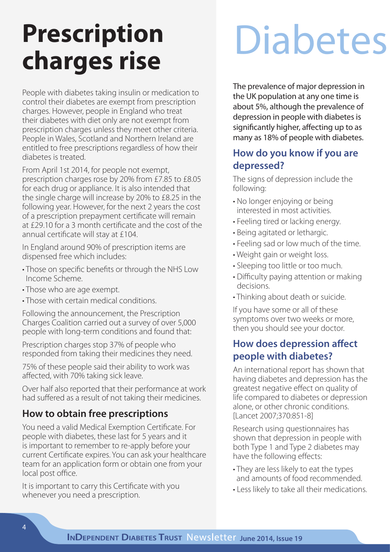# **Prescription**  Prescription<br>
charges rise<br>
<u>Charges</u> rise

People with diabetes taking insulin or medication to control their diabetes are exempt from prescription charges. However, people in England who treat their diabetes with diet only are not exempt from prescription charges unless they meet other criteria. People in Wales, Scotland and Northern Ireland are entitled to free prescriptions regardless of how their diabetes is treated.

From April 1st 2014, for people not exempt, prescription charges rose by 20% from £7.85 to £8.05 for each drug or appliance. It is also intended that the single charge will increase by 20% to £8.25 in the following year. However, for the next 2 years the cost of a prescription prepayment certificate will remain at £29.10 for a 3 month certificate and the cost of the annual certificate will stay at £104.

In England around 90% of prescription items are dispensed free which includes:

- Those on specific benefits or through the NHS Low Income Scheme.
- Those who are age exempt.
- Those with certain medical conditions.

Following the announcement, the Prescription Charges Coalition carried out a survey of over 5,000 people with long-term conditions and found that:

Prescription charges stop 37% of people who responded from taking their medicines they need.

75% of these people said their ability to work was affected, with 70% taking sick leave.

Over half also reported that their performance at work had suffered as a result of not taking their medicines.

## **How to obtain free prescriptions**

You need a valid Medical Exemption Certificate. For people with diabetes, these last for 5 years and it is important to remember to re-apply before your current Certificate expires. You can ask your healthcare team for an application form or obtain one from your local post office.

It is important to carry this Certificate with you whenever you need a prescription.

The prevalence of major depression in the UK population at any one time is about 5%, although the prevalence of depression in people with diabetes is significantly higher, affecting up to as many as 18% of people with diabetes.

## **How do you know if you are depressed?**

The signs of depression include the following:

- No longer enjoying or being interested in most activities.
- Feeling tired or lacking energy.
- Being agitated or lethargic.
- Feeling sad or low much of the time.
- Weight gain or weight loss.
- Sleeping too little or too much.
- Difficulty paying attention or making decisions.
- Thinking about death or suicide.

If you have some or all of these symptoms over two weeks or more, then you should see your doctor.

## **How does depression affect people with diabetes?**

An international report has shown that having diabetes and depression has the greatest negative effect on quality of life compared to diabetes or depression alone, or other chronic conditions. [Lancet 2007;370:851-8]

Research using questionnaires has shown that depression in people with both Type 1 and Type 2 diabetes may have the following effects:

- They are less likely to eat the types and amounts of food recommended.
- Less likely to take all their medications.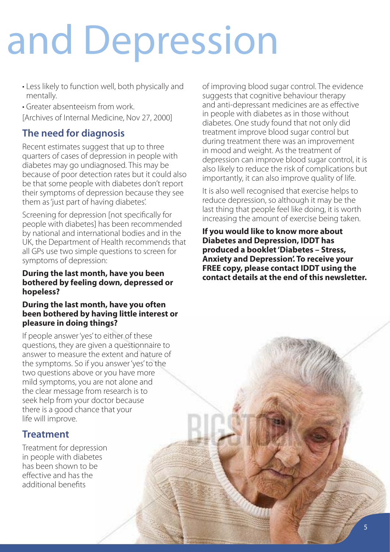# and Depression

- Less likely to function well, both physically and mentally.
- Greater absenteeism from work.

[Archives of Internal Medicine, Nov 27, 2000]

## **The need for diagnosis**

Recent estimates suggest that up to three quarters of cases of depression in people with diabetes may go undiagnosed. This may be because of poor detection rates but it could also be that some people with diabetes don't report their symptoms of depression because they see them as 'just part of having diabetes'.

Screening for depression [not specifically for people with diabetes] has been recommended by national and international bodies and in the UK, the Department of Health recommends that all GPs use two simple questions to screen for symptoms of depression:

### **During the last month, have you been bothered by feeling down, depressed or hopeless?**

### **During the last month, have you often been bothered by having little interest or pleasure in doing things?**

If people answer 'yes' to either of these questions, they are given a questionnaire to answer to measure the extent and nature of the symptoms. So if you answer 'yes' to the two questions above or you have more mild symptoms, you are not alone and the clear message from research is to seek help from your doctor because there is a good chance that your life will improve.

## **Treatment**

Treatment for depression in people with diabetes has been shown to be effective and has the additional benefits

of improving blood sugar control. The evidence suggests that cognitive behaviour therapy and anti-depressant medicines are as effective in people with diabetes as in those without diabetes. One study found that not only did treatment improve blood sugar control but during treatment there was an improvement in mood and weight. As the treatment of depression can improve blood sugar control, it is also likely to reduce the risk of complications but importantly, it can also improve quality of life.

It is also well recognised that exercise helps to reduce depression, so although it may be the last thing that people feel like doing, it is worth increasing the amount of exercise being taken.

**If you would like to know more about Diabetes and Depression, IDDT has produced a booklet 'Diabetes – Stress, Anxiety and Depression'. To receive your FREE copy, please contact IDDT using the contact details at the end of this newsletter.**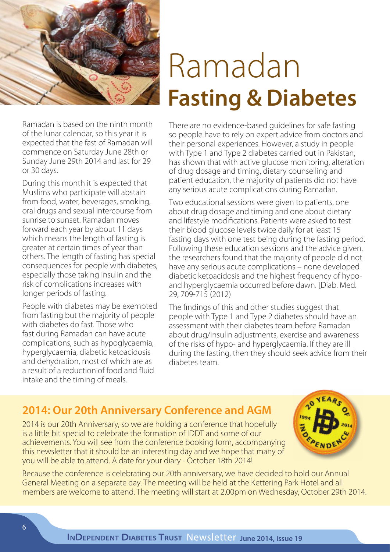

Ramadan is based on the ninth month of the lunar calendar, so this year it is expected that the fast of Ramadan will commence on Saturday June 28th or Sunday June 29th 2014 and last for 29 or 30 days.

During this month it is expected that Muslims who participate will abstain from food, water, beverages, smoking, oral drugs and sexual intercourse from sunrise to sunset. Ramadan moves forward each year by about 11 days which means the length of fasting is greater at certain times of year than others. The length of fasting has special consequences for people with diabetes, especially those taking insulin and the risk of complications increases with longer periods of fasting.

People with diabetes may be exempted from fasting but the majority of people with diabetes do fast. Those who fast during Ramadan can have acute complications, such as hypoglycaemia, hyperglycaemia, diabetic ketoacidosis and dehydration, most of which are as a result of a reduction of food and fluid intake and the timing of meals.

# Ramadan **Fasting & Diabetes**

There are no evidence-based guidelines for safe fasting so people have to rely on expert advice from doctors and their personal experiences. However, a study in people with Type 1 and Type 2 diabetes carried out in Pakistan, has shown that with active glucose monitoring, alteration of drug dosage and timing, dietary counselling and patient education, the majority of patients did not have any serious acute complications during Ramadan.

Two educational sessions were given to patients, one about drug dosage and timing and one about dietary and lifestyle modifications. Patients were asked to test their blood glucose levels twice daily for at least 15 fasting days with one test being during the fasting period. Following these education sessions and the advice given, the researchers found that the majority of people did not have any serious acute complications – none developed diabetic ketoacidosis and the highest frequency of hypoand hyperglycaemia occurred before dawn. [Diab. Med. 29, 709-715 (2012)

The findings of this and other studies suggest that people with Type 1 and Type 2 diabetes should have an assessment with their diabetes team before Ramadan about drug/insulin adjustments, exercise and awareness of the risks of hypo- and hyperglycaemia. If they are ill during the fasting, then they should seek advice from their diabetes team.

## **2014: Our 20th Anniversary Conference and AGM**

2014 is our 20th Anniversary, so we are holding a conference that hopefully is a little bit special to celebrate the formation of IDDT and some of our achievements. You will see from the conference booking form, accompanying this newsletter that it should be an interesting day and we hope that many of you will be able to attend. A date for your diary - October 18th 2014!



Because the conference is celebrating our 20th anniversary, we have decided to hold our Annual General Meeting on a separate day. The meeting will be held at the Kettering Park Hotel and all members are welcome to attend. The meeting will start at 2.00pm on Wednesday, October 29th 2014.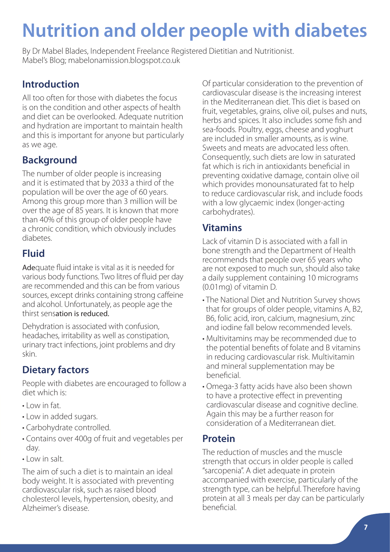## **Nutrition and older people with diabetes**

By Dr Mabel Blades, Independent Freelance Registered Dietitian and Nutritionist. Mabel's Blog; mabelonamission.blogspot.co.uk

## **Introduction**

All too often for those with diabetes the focus is on the condition and other aspects of health and diet can be overlooked. Adequate nutrition and hydration are important to maintain health and this is important for anyone but particularly as we age.

## **Background**

The number of older people is increasing and it is estimated that by 2033 a third of the population will be over the age of 60 years. Among this group more than 3 million will be over the age of 85 years. It is known that more than 40% of this group of older people have a chronic condition, which obviously includes diabetes.

## **Fluid**

Adequate fluid intake is vital as it is needed for various body functions. Two litres of fluid per day are recommended and this can be from various sources, except drinks containing strong caffeine and alcohol. Unfortunately, as people age the thirst sensation is reduced.

Dehydration is associated with confusion, headaches, irritability as well as constipation, urinary tract infections, joint problems and dry skin.

## **Dietary factors**

People with diabetes are encouraged to follow a diet which is:

- Low in fat.
- Low in added sugars.
- Carbohydrate controlled.
- Contains over 400g of fruit and vegetables per day.
- Low in salt.

The aim of such a diet is to maintain an ideal body weight. It is associated with preventing cardiovascular risk, such as raised blood cholesterol levels, hypertension, obesity, and Alzheimer's disease.

Of particular consideration to the prevention of cardiovascular disease is the increasing interest in the Mediterranean diet. This diet is based on fruit, vegetables, grains, olive oil, pulses and nuts, herbs and spices. It also includes some fish and sea-foods. Poultry, eggs, cheese and yoghurt are included in smaller amounts, as is wine. Sweets and meats are advocated less often. Consequently, such diets are low in saturated fat which is rich in antioxidants beneficial in preventing oxidative damage, contain olive oil which provides monounsaturated fat to help to reduce cardiovascular risk, and include foods with a low glycaemic index (longer-acting carbohydrates).

## **Vitamins**

Lack of vitamin D is associated with a fall in bone strength and the Department of Health recommends that people over 65 years who are not exposed to much sun, should also take a daily supplement containing 10 micrograms (0.01mg) of vitamin D.

- The National Diet and Nutrition Survey shows that for groups of older people, vitamins A, B2, B6, folic acid, iron, calcium, magnesium, zinc and iodine fall below recommended levels.
- Multivitamins may be recommended due to the potential benefits of folate and B vitamins in reducing cardiovascular risk. Multivitamin and mineral supplementation may be beneficial.
- Omega-3 fatty acids have also been shown to have a protective effect in preventing cardiovascular disease and cognitive decline. Again this may be a further reason for consideration of a Mediterranean diet.

## **Protein**

The reduction of muscles and the muscle strength that occurs in older people is called "sarcopenia". A diet adequate in protein accompanied with exercise, particularly of the strength type, can be helpful. Therefore having protein at all 3 meals per day can be particularly beneficial.